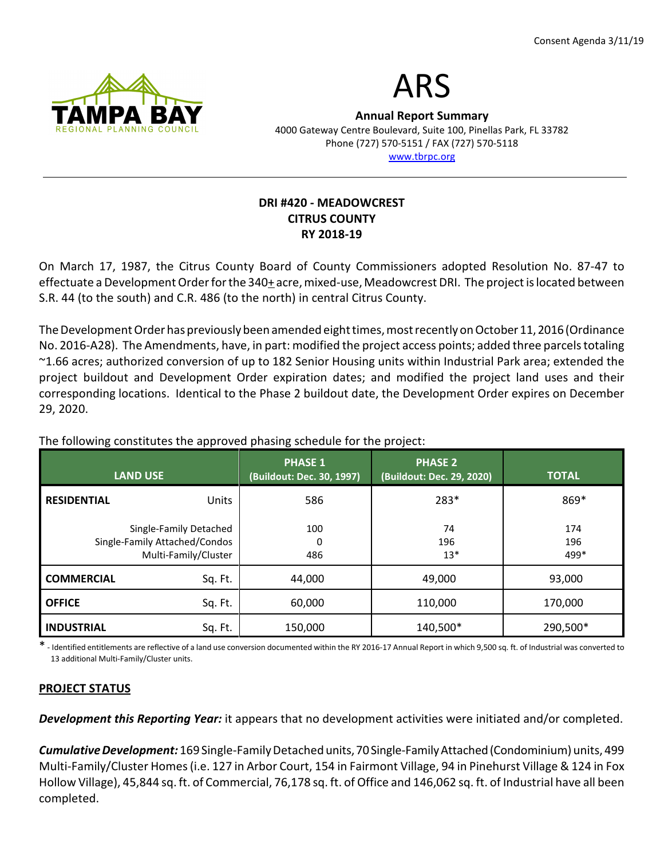



Annual Report Summary 4000 Gateway Centre Boulevard, Suite 100, Pinellas Park, FL 33782 Phone (727) 570-5151 / FAX (727) 570-5118 www.tbrpc.org

## DRI #420 - MEADOWCREST CITRUS COUNTY RY 2018-19

On March 17, 1987, the Citrus County Board of County Commissioners adopted Resolution No. 87-47 to effectuate a Development Order for the 340+ acre, mixed-use, Meadowcrest DRI. The project is located between S.R. 44 (to the south) and C.R. 486 (to the north) in central Citrus County.

The Development Order has previously been amended eight times, most recently on October 11, 2016 (Ordinance No. 2016-A28). The Amendments, have, in part: modified the project access points; added three parcels totaling ~1.66 acres; authorized conversion of up to 182 Senior Housing units within Industrial Park area; extended the project buildout and Development Order expiration dates; and modified the project land uses and their corresponding locations. Identical to the Phase 2 buildout date, the Development Order expires on December 29, 2020.

| <b>LAND USE</b>                                                                 |         | <b>PHASE 1</b><br>(Buildout: Dec. 30, 1997) | <b>PHASE 2</b><br>(Buildout: Dec. 29, 2020) | <b>TOTAL</b>       |
|---------------------------------------------------------------------------------|---------|---------------------------------------------|---------------------------------------------|--------------------|
| <b>RESIDENTIAL</b>                                                              | Units   | 586                                         | 283*                                        | 869*               |
| Single-Family Detached<br>Single-Family Attached/Condos<br>Multi-Family/Cluster |         | 100<br>0<br>486                             | 74<br>196<br>$13*$                          | 174<br>196<br>499* |
| <b>COMMERCIAL</b>                                                               | Sq. Ft. | 44,000                                      | 49,000                                      | 93,000             |
| <b>OFFICE</b>                                                                   | Sq. Ft. | 60,000                                      | 110,000                                     | 170,000            |
| <b>INDUSTRIAL</b>                                                               | Sq. Ft. | 150,000                                     | 140,500*                                    | 290,500*           |

The following constitutes the approved phasing schedule for the project:

\* - Identified entitlements are reflective of a land use conversion documented within the RY 2016-17 Annual Report in which 9,500 sq. ft. of Industrial was converted to 13 additional Multi-Family/Cluster units.

# PROJECT STATUS

**Development this Reporting Year:** it appears that no development activities were initiated and/or completed.

Cumulative Development: 169 Single-Family Detached units, 70 Single-Family Attached (Condominium) units, 499 Multi-Family/Cluster Homes (i.e. 127 in Arbor Court, 154 in Fairmont Village, 94 in Pinehurst Village & 124 in Fox Hollow Village), 45,844 sq. ft. of Commercial, 76,178 sq. ft. of Office and 146,062 sq. ft. of Industrial have all been completed.